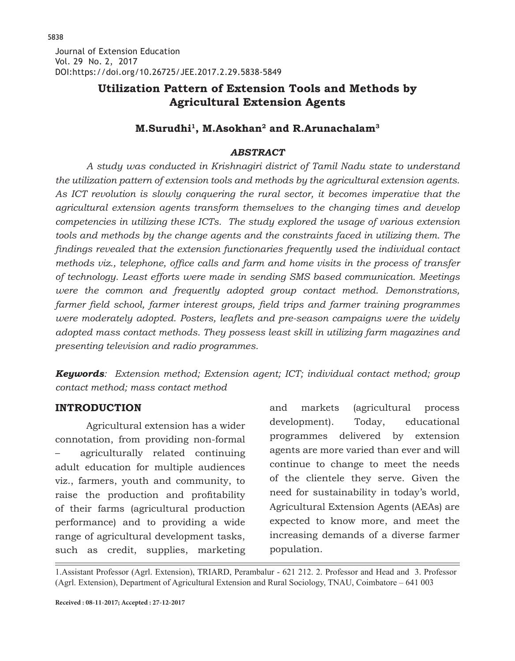Journal of Extension Education Vol. 29 No. 2, 2017 DOI:https://doi.org/10.26725/JEE.2017.2.29.5838-5849

# **Utilization Pattern of Extension Tools and Methods by Agricultural Extension Agents**

## **M.Surudhi1, M.Asokhan2 and R.Arunachalam3**

### *ABSTRACT*

*A study was conducted in Krishnagiri district of Tamil Nadu state to understand the utilization pattern of extension tools and methods by the agricultural extension agents. As ICT revolution is slowly conquering the rural sector, it becomes imperative that the agricultural extension agents transform themselves to the changing times and develop competencies in utilizing these ICTs. The study explored the usage of various extension tools and methods by the change agents and the constraints faced in utilizing them. The findings revealed that the extension functionaries frequently used the individual contact methods viz., telephone, office calls and farm and home visits in the process of transfer of technology. Least efforts were made in sending SMS based communication. Meetings were the common and frequently adopted group contact method. Demonstrations, farmer field school, farmer interest groups, field trips and farmer training programmes were moderately adopted. Posters, leaflets and pre-season campaigns were the widely adopted mass contact methods. They possess least skill in utilizing farm magazines and presenting television and radio programmes.* 

*Keywords: Extension method; Extension agent; ICT; individual contact method; group contact method; mass contact method*

## **INTRODUCTION**

Agricultural extension has a wider connotation, from providing non-formal – agriculturally related continuing adult education for multiple audiences viz., farmers, youth and community, to raise the production and profitability of their farms (agricultural production performance) and to providing a wide range of agricultural development tasks, such as credit, supplies, marketing

and markets (agricultural process development). Today, educational programmes delivered by extension agents are more varied than ever and will continue to change to meet the needs of the clientele they serve. Given the need for sustainability in today's world, Agricultural Extension Agents (AEAs) are expected to know more, and meet the increasing demands of a diverse farmer population.

1.Assistant Professor (Agrl. Extension), TRIARD, Perambalur - 621 212. 2. Professor and Head and 3. Professor (Agrl. Extension), Department of Agricultural Extension and Rural Sociology, TNAU, Coimbatore – 641 003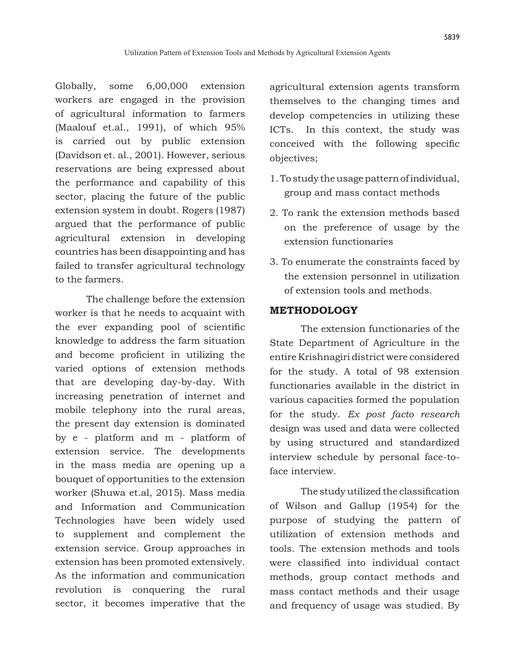Globally, some 6,00,000 extension workers are engaged in the provision of agricultural information to farmers (Maalouf et.al., 1991), of which 95% is carried out by public extension (Davidson et. al., 2001). However, serious reservations are being expressed about the performance and capability of this sector, placing the future of the public extension system in doubt. Rogers (1987) argued that the performance of public agricultural extension in developing countries has been disappointing and has failed to transfer agricultural technology to the farmers.

The challenge before the extension worker is that he needs to acquaint with the ever expanding pool of scientific knowledge to address the farm situation and become proficient in utilizing the varied options of extension methods that are developing day-by-day. With increasing penetration of internet and mobile telephony into the rural areas, the present day extension is dominated by e - platform and m - platform of extension service. The developments in the mass media are opening up a bouquet of opportunities to the extension worker (Shuwa et.al, 2015). Mass media and Information and Communication Technologies have been widely used to supplement and complement the extension service. Group approaches in extension has been promoted extensively. As the information and communication revolution is conquering the rural sector, it becomes imperative that the agricultural extension agents transform themselves to the changing times and develop competencies in utilizing these ICTs. In this context, the study was conceived with the following specific objectives;

- 1. To study the usage pattern of individual, group and mass contact methods
- 2. To rank the extension methods based on the preference of usage by the extension functionaries
- 3. To enumerate the constraints faced by the extension personnel in utilization of extension tools and methods.

## **METHODOLOGY**

The extension functionaries of the State Department of Agriculture in the entire Krishnagiri district were considered for the study. A total of 98 extension functionaries available in the district in various capacities formed the population for the study. *Ex post facto research*  design was used and data were collected by using structured and standardized interview schedule by personal face-toface interview.

 The studyutilized the classification of Wilson and Gallup (1954) for the purpose of studying the pattern of utilization of extension methods and tools. The extension methods and tools were classified into individual contact methods, group contact methods and mass contact methods and their usage and frequency of usage was studied. By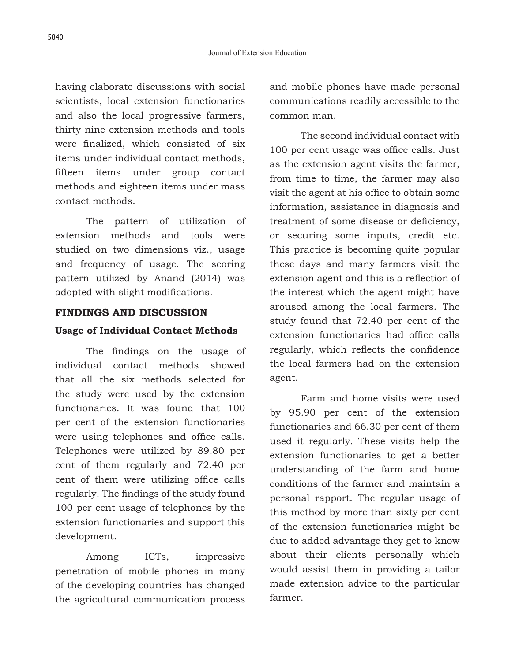having elaborate discussions with social scientists, local extension functionaries and also the local progressive farmers, thirty nine extension methods and tools were finalized, which consisted of six items under individual contact methods, fifteen items under group contact methods and eighteen items under mass contact methods.

The pattern of utilization of extension methods and tools were studied on two dimensions viz., usage and frequency of usage. The scoring pattern utilized by Anand (2014) was adopted with slight modifications.

### **FINDINGS AND DISCUSSION**

### **Usage of Individual Contact Methods**

 The findings on the usage of individual contact methods showed that all the six methods selected for the study were used by the extension functionaries. It was found that 100 per cent of the extension functionaries were using telephones and office calls. Telephones were utilized by 89.80 per cent of them regularly and 72.40 per cent of them were utilizing office calls regularly. The findings of the study found 100 per cent usage of telephones by the extension functionaries and support this development.

Among ICTs, impressive penetration of mobile phones in many of the developing countries has changed the agricultural communication process and mobile phones have made personal communications readily accessible to the common man.

The second individual contact with 100 per cent usage was office calls. Just as the extension agent visits the farmer, from time to time, the farmer may also visit the agent at his office to obtain some information, assistance in diagnosis and treatment of some disease or deficiency, or securing some inputs, credit etc. This practice is becoming quite popular these days and many farmers visit the extension agent and this is a reflection of the interest which the agent might have aroused among the local farmers. The study found that 72.40 per cent of the extension functionaries had office calls regularly, which reflects the confidence the local farmers had on the extension agent.

Farm and home visits were used by 95.90 per cent of the extension functionaries and 66.30 per cent of them used it regularly. These visits help the extension functionaries to get a better understanding of the farm and home conditions of the farmer and maintain a personal rapport. The regular usage of this method by more than sixty per cent of the extension functionaries might be due to added advantage they get to know about their clients personally which would assist them in providing a tailor made extension advice to the particular farmer.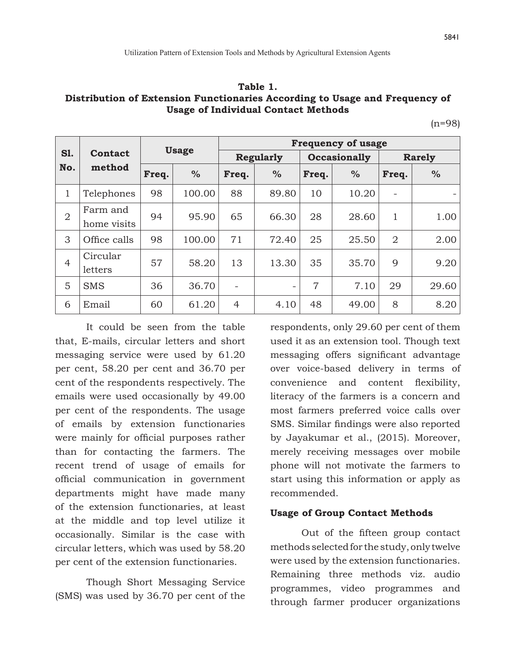**Table 1. Distribution of Extension Functionaries According to Usage and Frequency of Usage of Individual Contact Methods**

|--|--|--|--|--|

|                   |                          | <b>Usage</b> |        | <b>Frequency of usage</b> |                  |       |                     |                |       |  |  |  |
|-------------------|--------------------------|--------------|--------|---------------------------|------------------|-------|---------------------|----------------|-------|--|--|--|
| <b>S1.</b><br>No. | <b>Contact</b><br>method |              |        |                           | <b>Regularly</b> |       | <b>Occasionally</b> | <b>Rarely</b>  |       |  |  |  |
|                   |                          | Freq.        | $\%$   | Freq.                     | $\%$             | Freq. | $\%$                | Freq.          | $\%$  |  |  |  |
| 1                 | Telephones               | 98           | 100.00 | 88                        | 89.80            | 10    | 10.20               |                |       |  |  |  |
| $\overline{2}$    | Farm and<br>home visits  | 94           | 95.90  | 65                        | 66.30            | 28    | 28.60               | 1              | 1.00  |  |  |  |
| 3                 | Office calls             | 98           | 100.00 | 71                        | 72.40            | 25    | 25.50               | $\overline{2}$ | 2.00  |  |  |  |
| $\overline{4}$    | Circular<br>letters      | 57           | 58.20  | 13                        | 13.30            | 35    | 35.70               | 9              | 9.20  |  |  |  |
| 5                 | <b>SMS</b>               | 36           | 36.70  | $\overline{\phantom{0}}$  | $\qquad \qquad$  | 7     | 7.10                | 29             | 29.60 |  |  |  |
| 6                 | Email                    | 60           | 61.20  | $\overline{4}$            | 4.10             | 48    | 49.00               | 8              | 8.20  |  |  |  |

It could be seen from the table that, E-mails, circular letters and short messaging service were used by 61.20 per cent, 58.20 per cent and 36.70 per cent of the respondents respectively. The emails were used occasionally by 49.00 per cent of the respondents. The usage of emails by extension functionaries were mainly for official purposes rather than for contacting the farmers. The recent trend of usage of emails for official communication in government departments might have made many of the extension functionaries, at least at the middle and top level utilize it occasionally. Similar is the case with circular letters, which was used by 58.20 per cent of the extension functionaries.

Though Short Messaging Service (SMS) was used by 36.70 per cent of the respondents, only 29.60 per cent of them used it as an extension tool. Though text messaging offers significant advantage over voice-based delivery in terms of convenience and content flexibility, literacy of the farmers is a concern and most farmers preferred voice calls over SMS. Similar findings were also reported by Jayakumar et al., (2015). Moreover, merely receiving messages over mobile phone will not motivate the farmers to start using this information or apply as recommended.

### **Usage of Group Contact Methods**

 Out of the fifteen group contact methods selected for the study, only twelve were used by the extension functionaries. Remaining three methods viz. audio programmes, video programmes and through farmer producer organizations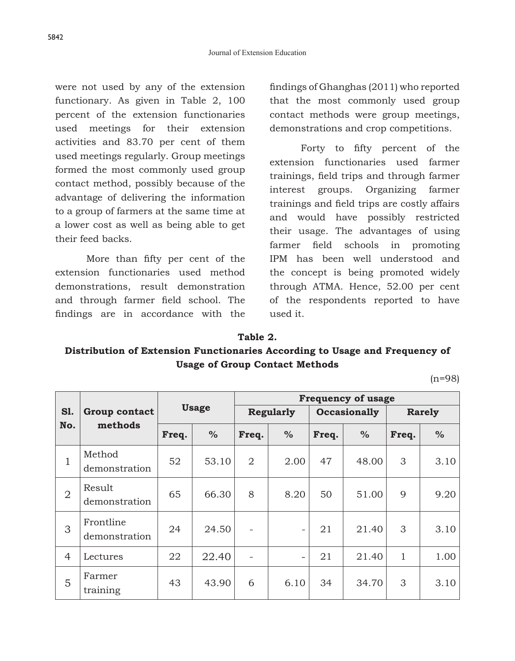were not used by any of the extension functionary. As given in Table 2, 100 percent of the extension functionaries used meetings for their extension activities and 83.70 per cent of them used meetings regularly. Group meetings formed the most commonly used group contact method, possibly because of the advantage of delivering the information to a group of farmers at the same time at a lower cost as well as being able to get their feed backs.

 More than fifty per cent of the extension functionaries used method demonstrations, result demonstration and through farmer field school. The findings are in accordance with the findings of Ghanghas (2011) who reported that the most commonly used group contact methods were group meetings, demonstrations and crop competitions.

 Forty to fifty percent of the extension functionaries used farmer trainings, field trips and through farmer interest groups. Organizing farmer trainings and field trips are costly affairs and would have possibly restricted their usage. The advantages of using farmer field schools in promoting IPM has been well understood and the concept is being promoted widely through ATMA. Hence, 52.00 per cent of the respondents reported to have used it.

### **Table 2.**

# **Distribution of Extension Functionaries According to Usage and Frequency of Usage of Group Contact Methods**

(n=98)

|                |                                 |              |       | <b>Frequency of usage</b> |                          |                     |               |               |               |  |  |
|----------------|---------------------------------|--------------|-------|---------------------------|--------------------------|---------------------|---------------|---------------|---------------|--|--|
| S1.<br>No.     | <b>Group contact</b><br>methods | <b>Usage</b> |       | <b>Regularly</b>          |                          | <b>Occasionally</b> |               | <b>Rarely</b> |               |  |  |
|                |                                 | Freq.        | $\%$  | Freq.                     | $\frac{0}{0}$            | Freq.               | $\frac{0}{0}$ | Freq.         | $\frac{0}{0}$ |  |  |
| $\mathbf{1}$   | Method<br>demonstration         | 52           | 53.10 | $\overline{2}$            | 2.00                     | 47                  | 48.00         | 3             | 3.10          |  |  |
| $\overline{2}$ | Result<br>demonstration         | 65           | 66.30 | 8                         | 8.20                     | 50                  | 51.00         | 9             | 9.20          |  |  |
| 3              | Frontline<br>demonstration      | 24           | 24.50 |                           |                          | 21                  | 21.40         | 3             | 3.10          |  |  |
| $\overline{4}$ | Lectures                        | 22           | 22.40 | $\overline{\phantom{a}}$  | $\overline{\phantom{a}}$ | 21                  | 21.40         | 1             | 1.00          |  |  |
| 5              | Farmer<br>training              | 43           | 43.90 | 6                         | 6.10                     | 34                  | 34.70         | 3             | 3.10          |  |  |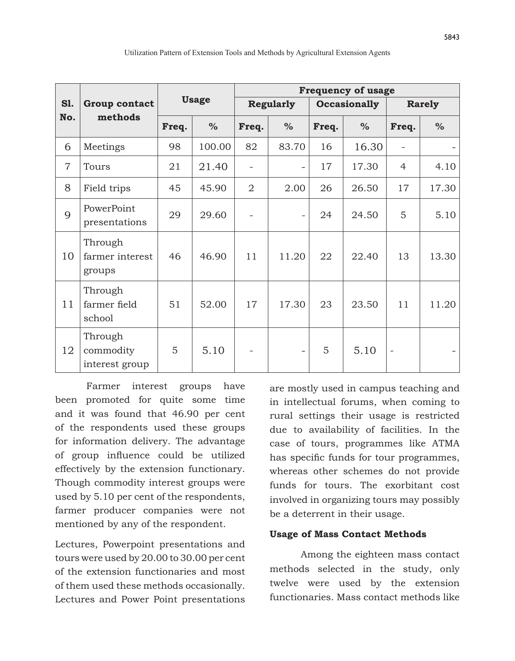|                |                                        |              |               | <b>Frequency of usage</b> |                   |                     |       |                          |       |  |
|----------------|----------------------------------------|--------------|---------------|---------------------------|-------------------|---------------------|-------|--------------------------|-------|--|
| S1.            | Group contact<br>methods               | <b>Usage</b> |               | <b>Regularly</b>          |                   | <b>Occasionally</b> |       | <b>Rarely</b>            |       |  |
| No.            |                                        | Freq.        | $\frac{0}{0}$ | Freq.                     | $\frac{0}{0}$     | Freq.               | $\%$  | Freq.                    | $\%$  |  |
| 6              | Meetings                               | 98           | 100.00        | 82                        | 83.70             | 16                  | 16.30 |                          |       |  |
| $\overline{7}$ | Tours                                  | 21           | 21.40         | $\overline{\phantom{0}}$  |                   | 17                  | 17.30 | 4                        | 4.10  |  |
| 8              | Field trips                            | 45           | 45.90         | $\overline{2}$            | 2.00              | 26                  | 26.50 | 17                       | 17.30 |  |
| 9              | PowerPoint<br>presentations            | 29           | 29.60         | $\overline{\phantom{0}}$  | $\qquad \qquad -$ | 24                  | 24.50 | 5                        | 5.10  |  |
| 10             | Through<br>farmer interest<br>groups   | 46           | 46.90         | 11                        | 11.20             | 22                  | 22.40 | 13                       | 13.30 |  |
| 11             | Through<br>farmer field<br>school      | 51           | 52.00         | 17                        | 17.30             | 23                  | 23.50 | 11                       | 11.20 |  |
| 12             | Through<br>commodity<br>interest group | 5            | 5.10          |                           |                   | 5                   | 5.10  | $\overline{\phantom{0}}$ |       |  |

Farmer interest groups have been promoted for quite some time and it was found that 46.90 per cent of the respondents used these groups for information delivery. The advantage of group influence could be utilized effectively by the extension functionary. Though commodity interest groups were used by 5.10 per cent of the respondents, farmer producer companies were not mentioned by any of the respondent.

Lectures, Powerpoint presentations and tours were used by 20.00 to 30.00 per cent of the extension functionaries and most of them used these methods occasionally. Lectures and Power Point presentations

are mostly used in campus teaching and in intellectual forums, when coming to rural settings their usage is restricted due to availability of facilities. In the case of tours, programmes like ATMA has specific funds for tour programmes, whereas other schemes do not provide funds for tours. The exorbitant cost involved in organizing tours may possibly be a deterrent in their usage.

### **Usage of Mass Contact Methods**

Among the eighteen mass contact methods selected in the study, only twelve were used by the extension functionaries. Mass contact methods like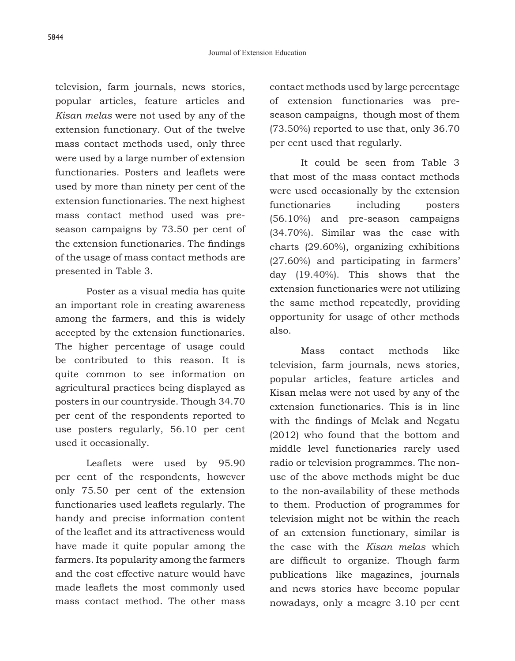television, farm journals, news stories, popular articles, feature articles and *Kisan melas* were not used by any of the extension functionary. Out of the twelve mass contact methods used, only three were used by a large number of extension functionaries. Posters and leaflets were used by more than ninety per cent of the extension functionaries. The next highest mass contact method used was preseason campaigns by 73.50 per cent of the extension functionaries. The findings of the usage of mass contact methods are presented in Table 3.

Poster as a visual media has quite an important role in creating awareness among the farmers, and this is widely accepted by the extension functionaries. The higher percentage of usage could be contributed to this reason. It is quite common to see information on agricultural practices being displayed as posters in our countryside. Though 34.70 per cent of the respondents reported to use posters regularly, 56.10 per cent used it occasionally.

 Leaflets were used by 95.90 per cent of the respondents, however only 75.50 per cent of the extension functionaries used leaflets regularly. The handy and precise information content of the leaflet and its attractiveness would have made it quite popular among the farmers. Its popularity among the farmers and the cost effective nature would have made leaflets the most commonly used mass contact method. The other mass contact methods used by large percentage of extension functionaries was preseason campaigns, though most of them (73.50%) reported to use that, only 36.70 per cent used that regularly.

It could be seen from Table 3 that most of the mass contact methods were used occasionally by the extension functionaries including posters (56.10%) and pre-season campaigns (34.70%). Similar was the case with charts (29.60%), organizing exhibitions (27.60%) and participating in farmers' day (19.40%). This shows that the extension functionaries were not utilizing the same method repeatedly, providing opportunity for usage of other methods also.

Mass contact methods like television, farm journals, news stories, popular articles, feature articles and Kisan melas were not used by any of the extension functionaries. This is in line with the findings of Melak and Negatu (2012) who found that the bottom and middle level functionaries rarely used radio or television programmes. The nonuse of the above methods might be due to the non-availability of these methods to them. Production of programmes for television might not be within the reach of an extension functionary, similar is the case with the *Kisan melas* which are difficult to organize. Though farm publications like magazines, journals and news stories have become popular nowadays, only a meagre 3.10 per cent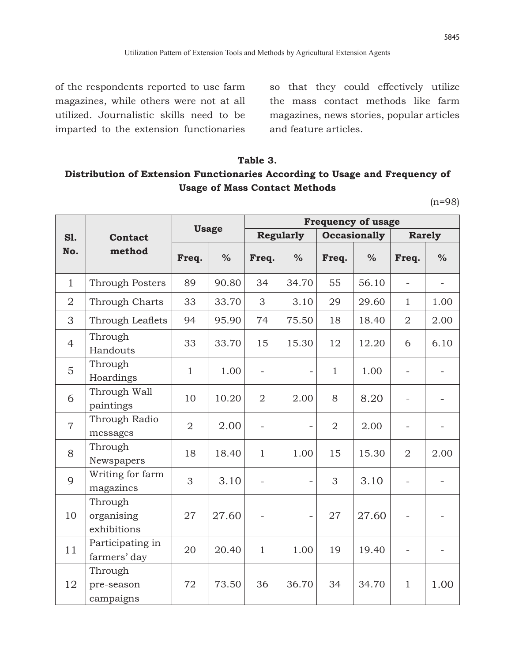of the respondents reported to use farm magazines, while others were not at all utilized. Journalistic skills need to be imparted to the extension functionaries so that they could effectively utilize the mass contact methods like farm magazines, news stories, popular articles and feature articles.

# **Table 3. Distribution of Extension Functionaries According to Usage and Frequency of Usage of Mass Contact Methods**

(n=98)

|                |                                      | <b>Usage</b>   |               | <b>Frequency of usage</b> |                  |                |                     |                          |               |  |
|----------------|--------------------------------------|----------------|---------------|---------------------------|------------------|----------------|---------------------|--------------------------|---------------|--|
| <b>S1.</b>     | <b>Contact</b>                       |                |               |                           | <b>Regularly</b> |                | <b>Occasionally</b> |                          | <b>Rarely</b> |  |
| No.            | method                               | Freq.          | $\frac{0}{0}$ | Freq.                     | $\%$             | Freq.          | $\frac{0}{0}$       | Freq.                    | $\%$          |  |
| $\mathbf{1}$   | Through Posters                      | 89             | 90.80         | 34                        | 34.70            | 55             | 56.10               | $\overline{\phantom{a}}$ | $-$           |  |
| $\overline{2}$ | Through Charts                       | 33             | 33.70         | 3                         | 3.10             | 29             | 29.60               | $\mathbf{1}$             | 1.00          |  |
| 3              | Through Leaflets                     | 94             | 95.90         | 74                        | 75.50            | 18             | 18.40               | $\overline{2}$           | 2.00          |  |
| $\overline{4}$ | Through<br>Handouts                  | 33             | 33.70         | 15                        | 15.30            | 12             | 12.20               | 6                        | 6.10          |  |
| 5              | Through<br>Hoardings                 | $\mathbf{1}$   | 1.00          | $\overline{\phantom{0}}$  |                  | $\mathbf{1}$   | 1.00                |                          |               |  |
| 6              | Through Wall<br>paintings            | 10             | 10.20         | $\overline{2}$            | 2.00             | 8              | 8.20                |                          |               |  |
| $\overline{7}$ | Through Radio<br>messages            | $\overline{2}$ | 2.00          | $\overline{\phantom{a}}$  |                  | $\overline{2}$ | 2.00                | $\overline{\phantom{0}}$ |               |  |
| 8              | Through<br>Newspapers                | 18             | 18.40         | $\mathbf{1}$              | 1.00             | 15             | 15.30               | $\overline{2}$           | 2.00          |  |
| 9              | Writing for farm<br>magazines        | 3              | 3.10          |                           |                  | 3              | 3.10                |                          |               |  |
| 10             | Through<br>organising<br>exhibitions | 27             | 27.60         | $\overline{\phantom{a}}$  |                  | 27             | 27.60               |                          |               |  |
| 11             | Participating in<br>farmers' day     | 20             | 20.40         | $\mathbf{1}$              | 1.00             | 19             | 19.40               |                          |               |  |
| 12             | Through<br>pre-season<br>campaigns   | 72             | 73.50         | 36                        | 36.70            | 34             | 34.70               | $\mathbf{1}$             | 1.00          |  |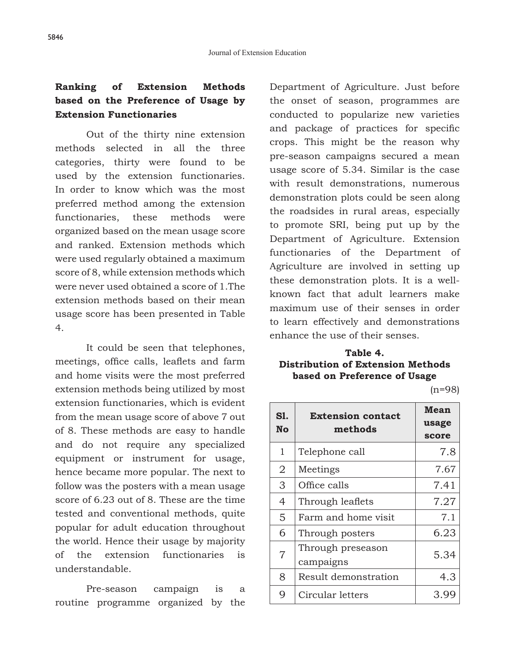# **Ranking of Extension Methods based on the Preference of Usage by Extension Functionaries**

Out of the thirty nine extension methods selected in all the three categories, thirty were found to be used by the extension functionaries. In order to know which was the most preferred method among the extension functionaries, these methods were organized based on the mean usage score and ranked. Extension methods which were used regularly obtained a maximum score of 8, while extension methods which were never used obtained a score of 1.The extension methods based on their mean usage score has been presented in Table 4.

It could be seen that telephones, meetings, office calls, leaflets and farm and home visits were the most preferred extension methods being utilized by most extension functionaries, which is evident from the mean usage score of above 7 out of 8. These methods are easy to handle and do not require any specialized equipment or instrument for usage, hence became more popular. The next to follow was the posters with a mean usage score of 6.23 out of 8. These are the time tested and conventional methods, quite popular for adult education throughout the world. Hence their usage by majority of the extension functionaries is understandable.

Pre-season campaign is a routine programme organized by the Department of Agriculture. Just before the onset of season, programmes are conducted to popularize new varieties and package of practices for specific crops. This might be the reason why pre-season campaigns secured a mean usage score of 5.34. Similar is the case with result demonstrations, numerous demonstration plots could be seen along the roadsides in rural areas, especially to promote SRI, being put up by the Department of Agriculture. Extension functionaries of the Department of Agriculture are involved in setting up these demonstration plots. It is a wellknown fact that adult learners make maximum use of their senses in order to learn effectively and demonstrations enhance the use of their senses.

## **Table 4. Distribution of Extension Methods based on Preference of Usage**

(n=98)

| <b>S1.</b><br>No | <b>Extension contact</b><br>methods | Mean<br>usage<br>score |
|------------------|-------------------------------------|------------------------|
| 1                | Telephone call                      | 7.8                    |
| $\overline{2}$   | Meetings                            | 7.67                   |
| 3                | Office calls                        | 7.41                   |
| 4                | Through leaflets                    | 7.27                   |
| 5                | Farm and home visit                 | 7.1                    |
| 6                | Through posters                     | 6.23                   |
| $\overline{7}$   | Through preseason<br>campaigns      | 5.34                   |
| 8                | Result demonstration                | 4.3                    |
| 9                | Circular letters                    | 3.99                   |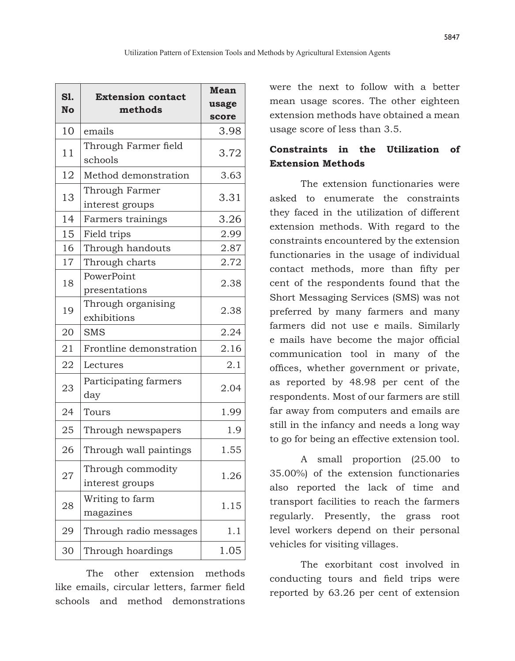| S1.<br><b>No</b> | <b>Extension contact</b><br>methods  | Mean<br>usage<br>score |
|------------------|--------------------------------------|------------------------|
| 10               | emails                               | 3.98                   |
| 11               | Through Farmer field<br>schools      | 3.72                   |
| 12               | Method demonstration                 | 3.63                   |
| 13               | Through Farmer<br>interest groups    | 3.31                   |
| 14               | Farmers trainings                    | 3.26                   |
| 15               | Field trips                          | 2.99                   |
| 16               | Through handouts                     | 2.87                   |
| 17               | Through charts                       | 2.72                   |
| 18               | PowerPoint<br>presentations          | 2.38                   |
| 19               | Through organising<br>exhibitions    | 2.38                   |
| 20               | <b>SMS</b>                           | 2.24                   |
| 21               | Frontline demonstration              | 2.16                   |
| 22               | Lectures                             | 2.1                    |
| 23               | Participating farmers<br>day         | 2.04                   |
| 24               | Tours                                | 1.99                   |
| 25               | Through newspapers                   | 1.9                    |
| 26               | Through wall paintings               | 1.55                   |
| 27               | Through commodity<br>interest groups | 1.26                   |
| 28               | Writing to farm<br>magazines         | 1.15                   |
| 29               | Through radio messages               | 1.1                    |
| 30               | Through hoardings                    | 1.05                   |

The other extension methods like emails, circular letters, farmer field schools and method demonstrations were the next to follow with a better mean usage scores. The other eighteen extension methods have obtained a mean usage score of less than 3.5.

## **Constraints in the Utilization of Extension Methods**

The extension functionaries were asked to enumerate the constraints they faced in the utilization of different extension methods. With regard to the constraints encountered by the extension functionaries in the usage of individual contact methods, more than fifty per cent of the respondents found that the Short Messaging Services (SMS) was not preferred by many farmers and many farmers did not use e mails. Similarly e mails have become the major official communication tool in many of the offices, whether government or private, as reported by 48.98 per cent of the respondents. Most of our farmers are still far away from computers and emails are still in the infancy and needs a long way to go for being an effective extension tool.

A small proportion (25.00 to 35.00%) of the extension functionaries also reported the lack of time and transport facilities to reach the farmers regularly. Presently, the grass root level workers depend on their personal vehicles for visiting villages.

The exorbitant cost involved in conducting tours and field trips were reported by 63.26 per cent of extension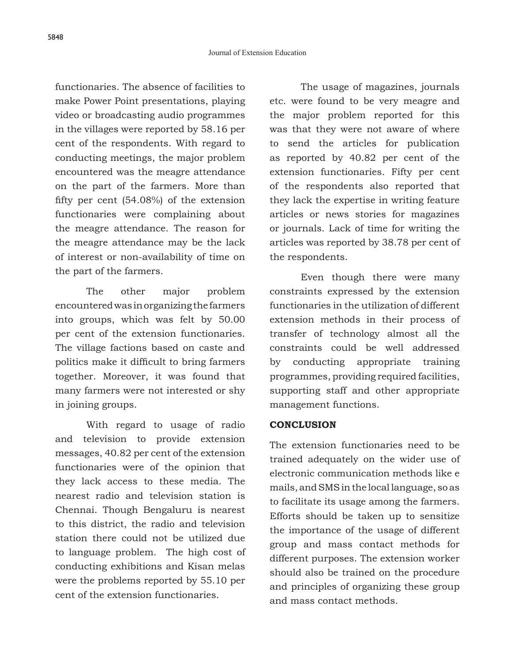functionaries. The absence of facilities to make Power Point presentations, playing video or broadcasting audio programmes in the villages were reported by 58.16 per cent of the respondents. With regard to conducting meetings, the major problem encountered was the meagre attendance on the part of the farmers. More than fifty per cent (54.08%) of the extension functionaries were complaining about the meagre attendance. The reason for the meagre attendance may be the lack of interest or non-availability of time on the part of the farmers.

The other major problem encountered was in organizing the farmers into groups, which was felt by 50.00 per cent of the extension functionaries. The village factions based on caste and politics make it difficult to bring farmers together. Moreover, it was found that many farmers were not interested or shy in joining groups.

With regard to usage of radio and television to provide extension messages, 40.82 per cent of the extension functionaries were of the opinion that they lack access to these media. The nearest radio and television station is Chennai. Though Bengaluru is nearest to this district, the radio and television station there could not be utilized due to language problem. The high cost of conducting exhibitions and Kisan melas were the problems reported by 55.10 per cent of the extension functionaries.

The usage of magazines, journals etc. were found to be very meagre and the major problem reported for this was that they were not aware of where to send the articles for publication as reported by 40.82 per cent of the extension functionaries. Fifty per cent of the respondents also reported that they lack the expertise in writing feature articles or news stories for magazines or journals. Lack of time for writing the articles was reported by 38.78 per cent of the respondents.

Even though there were many constraints expressed by the extension functionaries in the utilization of different extension methods in their process of transfer of technology almost all the constraints could be well addressed by conducting appropriate training programmes, providing required facilities, supporting staff and other appropriate management functions.

### **CONCLUSION**

The extension functionaries need to be trained adequately on the wider use of electronic communication methods like e mails, and SMS in the local language, so as to facilitate its usage among the farmers. Efforts should be taken up to sensitize the importance of the usage of different group and mass contact methods for different purposes. The extension worker should also be trained on the procedure and principles of organizing these group and mass contact methods.